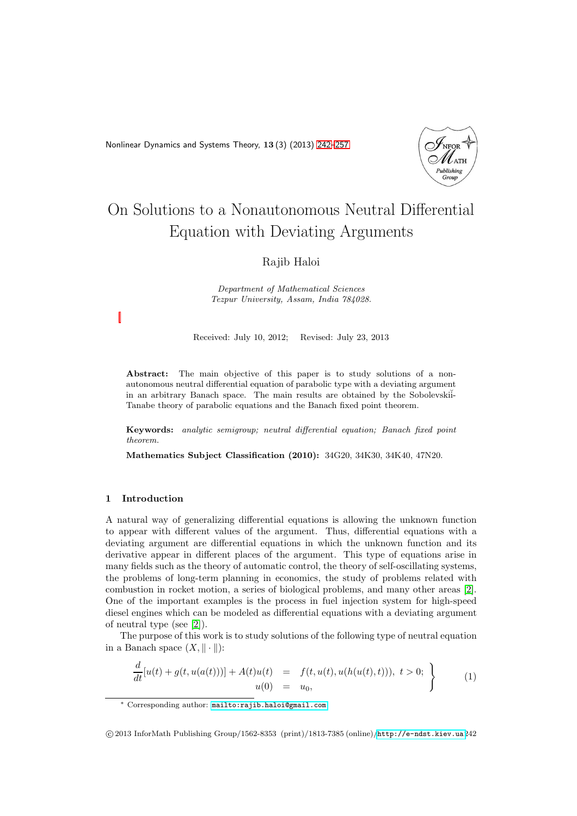<span id="page-0-0"></span>Nonlinear Dynamics and Systems Theory, 13 (3) (2013) [242–](#page-0-0)[257](#page-14-0)



# On Solutions to a Nonautonomous Neutral Differential Equation with Deviating Arguments

# Rajib Haloi

Department of Mathematical Sciences Tezpur University, Assam, India 784028.

Received: July 10, 2012; Revised: July 23, 2013

Abstract: The main objective of this paper is to study solutions of a nonautonomous neutral differential equation of parabolic type with a deviating argument in an arbitrary Banach space. The main results are obtained by the Sobolevskii-Tanabe theory of parabolic equations and the Banach fixed point theorem.

Keywords: analytic semigroup; neutral differential equation; Banach fixed point theorem.

Mathematics Subject Classification (2010): 34G20, 34K30, 34K40, 47N20.

# 1 Introduction

A natural way of generalizing differential equations is allowing the unknown function to appear with different values of the argument. Thus, differential equations with a deviating argument are differential equations in which the unknown function and its derivative appear in different places of the argument. This type of equations arise in many fields such as the theory of automatic control, the theory of self-oscillating systems, the problems of long-term planning in economics, the study of problems related with combustion in rocket motion, a series of biological problems, and many other areas [\[2\]](#page-14-1). One of the important examples is the process in fuel injection system for high-speed diesel engines which can be modeled as differential equations with a deviating argument of neutral type (see [\[2\]](#page-14-1)).

The purpose of this work is to study solutions of the following type of neutral equation in a Banach space  $(X, \|\cdot\|)$ :

<span id="page-0-1"></span>
$$
\frac{d}{dt}[u(t) + g(t, u(a(t)))] + A(t)u(t) = f(t, u(t), u(h(u(t), t))), t > 0; \n\} \n\tag{1}
$$

<sup>∗</sup> Corresponding author: [mailto:rajib.haloi@gmail.com](mailto: rajib.haloi@gmail.com)

c 2013 InforMath Publishing Group/1562-8353 (print)/1813-7385 (online)/<http://e-ndst.kiev.ua>242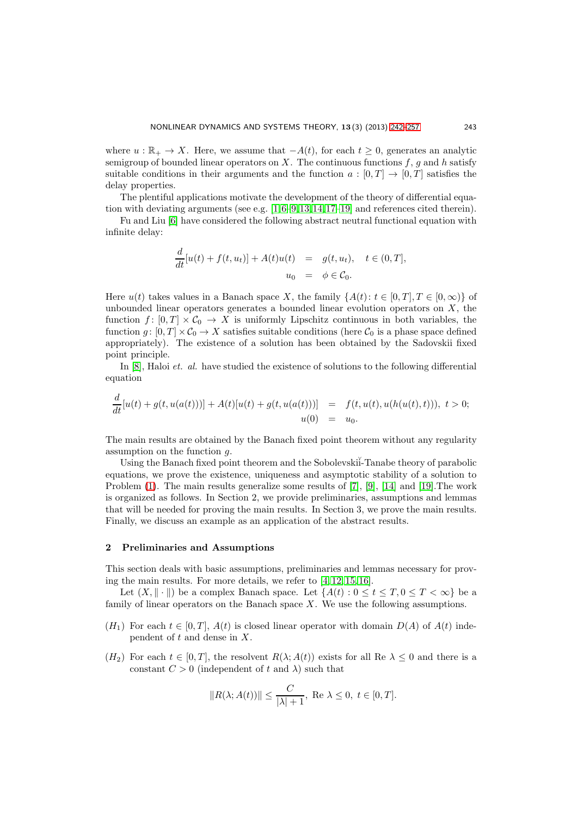where  $u : \mathbb{R}_+ \to X$ . Here, we assume that  $-A(t)$ , for each  $t \geq 0$ , generates an analytic semigroup of bounded linear operators on  $X$ . The continuous functions  $f$ ,  $g$  and  $h$  satisfy suitable conditions in their arguments and the function  $a : [0, T] \rightarrow [0, T]$  satisfies the delay properties.

The plentiful applications motivate the development of the theory of differential equa-

tion with deviating arguments (see e.g.  $[1,6-9,13,14,17-19]$  $[1,6-9,13,14,17-19]$  $[1,6-9,13,14,17-19]$  $[1,6-9,13,14,17-19]$  $[1,6-9,13,14,17-19]$  $[1,6-9,13,14,17-19]$  $[1,6-9,13,14,17-19]$  and references cited therein). Fu and Liu [\[6\]](#page-15-0) have considered the following abstract neutral functional equation with infinite delay:

$$
\frac{d}{dt}[u(t) + f(t, u_t)] + A(t)u(t) = g(t, u_t), \quad t \in (0, T],
$$
  

$$
u_0 = \phi \in C_0.
$$

Here  $u(t)$  takes values in a Banach space X, the family  $\{A(t): t \in [0,T], T \in [0,\infty)\}\$  of unbounded linear operators generates a bounded linear evolution operators on  $X$ , the function  $f: [0, T] \times C_0 \to X$  is uniformly Lipschitz continuous in both variables, the function  $g: [0, T] \times C_0 \to X$  satisfies suitable conditions (here  $C_0$  is a phase space defined appropriately). The existence of a solution has been obtained by the Sadovskii fixed point principle.

In  $[8]$ , Haloi *et. al.* have studied the existence of solutions to the following differential equation

$$
\frac{d}{dt}[u(t) + g(t, u(a(t)))] + A(t)[u(t) + g(t, u(a(t)))] = f(t, u(t), u(h(u(t), t))), t > 0;
$$
  
 
$$
u(0) = u_0.
$$

The main results are obtained by the Banach fixed point theorem without any regularity assumption on the function g.

Using the Banach fixed point theorem and the Sobolevskii-Tanabe theory of parabolic equations, we prove the existence, uniqueness and asymptotic stability of a solution to Problem [\(1\)](#page-0-1). The main results generalize some results of [\[7\]](#page-15-7), [\[9\]](#page-15-1), [\[14\]](#page-15-3) and [\[19\]](#page-15-5).The work is organized as follows. In Section 2, we provide preliminaries, assumptions and lemmas that will be needed for proving the main results. In Section 3, we prove the main results. Finally, we discuss an example as an application of the abstract results.

# 2 Preliminaries and Assumptions

This section deals with basic assumptions, preliminaries and lemmas necessary for proving the main results. For more details, we refer to [\[4,](#page-14-3) [12,](#page-15-8) [15,](#page-15-9) [16\]](#page-15-10).

Let  $(X, \|\cdot\|)$  be a complex Banach space. Let  $\{A(t): 0 \le t \le T, 0 \le T < \infty\}$  be a family of linear operators on the Banach space  $X$ . We use the following assumptions.

- $(H_1)$  For each  $t \in [0, T]$ ,  $A(t)$  is closed linear operator with domain  $D(A)$  of  $A(t)$  independent of  $t$  and dense in  $X$ .
- $(H_2)$  For each  $t \in [0, T]$ , the resolvent  $R(\lambda; A(t))$  exists for all Re  $\lambda \leq 0$  and there is a constant  $C > 0$  (independent of t and  $\lambda$ ) such that

$$
||R(\lambda; A(t))|| \le \frac{C}{|\lambda|+1}, \text{ Re } \lambda \le 0, t \in [0, T].
$$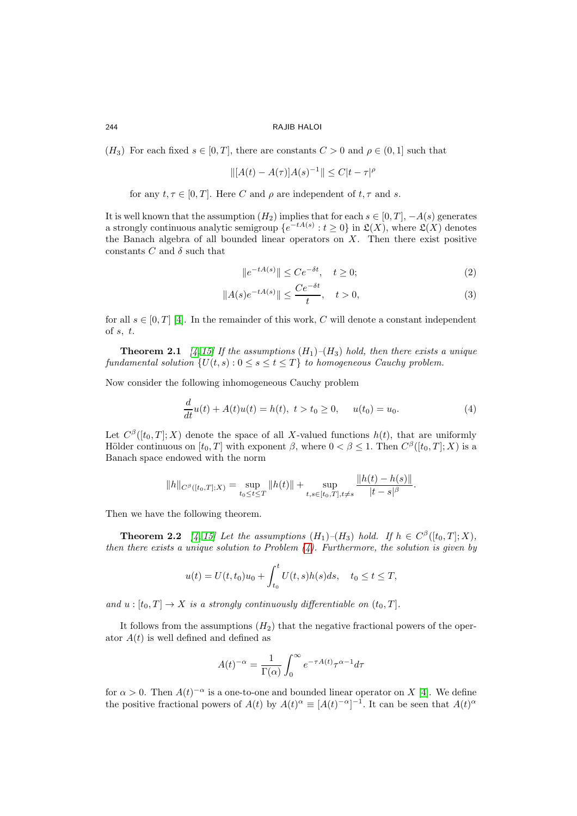$(H_3)$  For each fixed  $s \in [0, T]$ , there are constants  $C > 0$  and  $\rho \in (0, 1]$  such that

$$
\| [A(t) - A(\tau)]A(s)^{-1} \| \le C|t - \tau|^{\rho}
$$

for any  $t, \tau \in [0, T]$ . Here C and  $\rho$  are independent of  $t, \tau$  and s.

It is well known that the assumption  $(H_2)$  implies that for each  $s \in [0, T]$ ,  $-A(s)$  generates a strongly continuous analytic semigroup  $\{e^{-tA(s)}: t \geq 0\}$  in  $\mathfrak{L}(X)$ , where  $\mathfrak{L}(X)$  denotes the Banach algebra of all bounded linear operators on  $X$ . Then there exist positive constants  $C$  and  $\delta$  such that

$$
||e^{-tA(s)}|| \le Ce^{-\delta t}, \quad t \ge 0;
$$
\n<sup>(2)</sup>

$$
||A(s)e^{-tA(s)}|| \le \frac{Ce^{-\delta t}}{t}, \quad t > 0,
$$
\n
$$
(3)
$$

for all  $s \in [0, T]$  [\[4\]](#page-14-3). In the remainder of this work, C will denote a constant independent of  $s, t$ .

**Theorem 2.1** [\[4,](#page-14-3) [15\]](#page-15-9) If the assumptions  $(H_1)$ – $(H_3)$  hold, then there exists a unique fundamental solution  $\{U(t, s) : 0 \le s \le t \le T\}$  to homogeneous Cauchy problem.

Now consider the following inhomogeneous Cauchy problem

<span id="page-2-0"></span>
$$
\frac{d}{dt}u(t) + A(t)u(t) = h(t), \ t > t_0 \ge 0, \quad u(t_0) = u_0.
$$
\n(4)

Let  $C^{\beta}([t_0,T];X)$  denote the space of all X-valued functions  $h(t)$ , that are uniformly Hölder continuous on  $[t_0, T]$  with exponent  $\beta$ , where  $0 < \beta \leq 1$ . Then  $C^{\beta}([t_0, T]; X)$  is a Banach space endowed with the norm

$$
||h||_{C^{\beta}([t_0,T];X)} = \sup_{t_0 \le t \le T} ||h(t)|| + \sup_{t,s \in [t_0,T], t \ne s} \frac{||h(t) - h(s)||}{|t - s|^{\beta}}.
$$

<span id="page-2-1"></span>Then we have the following theorem.

**Theorem 2.2** [\[4,](#page-14-3) [15\]](#page-15-9) Let the assumptions  $(H_1)$ - $(H_3)$  hold. If  $h \in C^{\beta}([t_0, T]; X)$ , then there exists a unique solution to Problem  $(4)$ . Furthermore, the solution is given by

$$
u(t) = U(t, t_0)u_0 + \int_{t_0}^t U(t, s)h(s)ds, \quad t_0 \le t \le T,
$$

and  $u : [t_0, T] \to X$  is a strongly continuously differentiable on  $(t_0, T]$ .

It follows from the assumptions  $(H_2)$  that the negative fractional powers of the operator  $A(t)$  is well defined and defined as

$$
A(t)^{-\alpha} = \frac{1}{\Gamma(\alpha)} \int_0^{\infty} e^{-\tau A(t)} \tau^{\alpha-1} d\tau
$$

for  $\alpha > 0$ . Then  $A(t)^{-\alpha}$  is a one-to-one and bounded linear operator on X [\[4\]](#page-14-3). We define the positive fractional powers of  $A(t)$  by  $A(t)^{\alpha} \equiv [A(t)^{-\alpha}]^{-1}$ . It can be seen that  $A(t)^{\alpha}$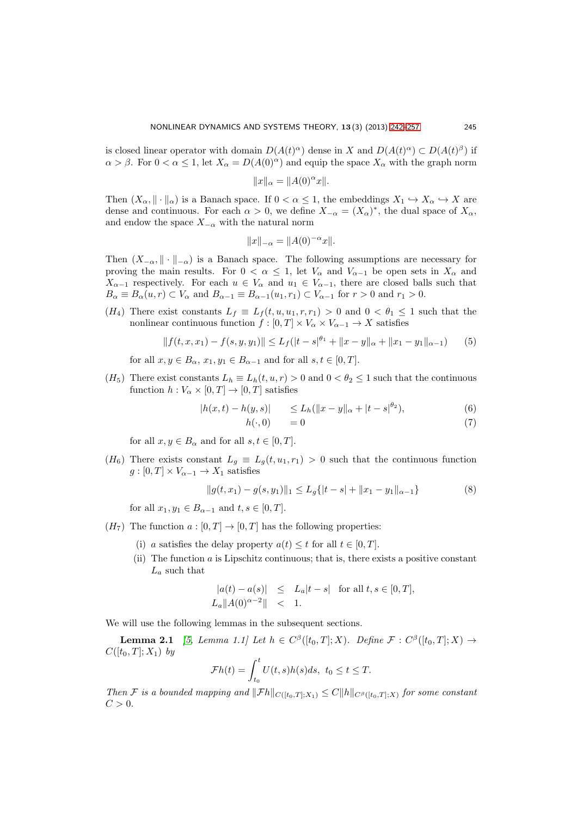is closed linear operator with domain  $D(A(t)^\alpha)$  dense in X and  $D(A(t)^\alpha) \subset D(A(t)^\beta)$  if  $\alpha > \beta$ . For  $0 < \alpha \leq 1$ , let  $X_{\alpha} = D(A(0)^{\alpha})$  and equip the space  $X_{\alpha}$  with the graph norm

$$
||x||_{\alpha} = ||A(0)^{\alpha}x||.
$$

Then  $(X_\alpha, \|\cdot\|_\alpha)$  is a Banach space. If  $0 < \alpha \leq 1$ , the embeddings  $X_1 \hookrightarrow X_\alpha \hookrightarrow X$  are dense and continuous. For each  $\alpha > 0$ , we define  $X_{-\alpha} = (X_{\alpha})^*$ , the dual space of  $X_{\alpha}$ , and endow the space  $X_{-\alpha}$  with the natural norm

$$
||x||_{-\alpha} = ||A(0)^{-\alpha}x||.
$$

Then  $(X_{-\alpha}, \|\cdot\|_{-\alpha})$  is a Banach space. The following assumptions are necessary for proving the main results. For  $0 < \alpha \leq 1$ , let  $V_{\alpha}$  and  $V_{\alpha-1}$  be open sets in  $X_{\alpha}$  and  $X_{\alpha-1}$  respectively. For each  $u \in V_\alpha$  and  $u_1 \in V_{\alpha-1}$ , there are closed balls such that  $B_{\alpha} \equiv B_{\alpha}(u,r) \subset V_{\alpha}$  and  $B_{\alpha-1} \equiv B_{\alpha-1}(u_1,r_1) \subset V_{\alpha-1}$  for  $r > 0$  and  $r_1 > 0$ .

(H<sub>4</sub>) There exist constants  $L_f \equiv L_f(t, u, u_1, r, r_1) > 0$  and  $0 < \theta_1 \leq 1$  such that the nonlinear continuous function  $f : [0, T] \times V_\alpha \times V_{\alpha-1} \to X$  satisfies

$$
|| f(t, x, x_1) - f(s, y, y_1)|| \le L_f(|t - s|^{\theta_1} + ||x - y||_{\alpha} + ||x_1 - y_1||_{\alpha - 1})
$$
(5)

for all  $x, y \in B_\alpha$ ,  $x_1, y_1 \in B_{\alpha-1}$  and for all  $s, t \in [0, T]$ .

(H<sub>5</sub>) There exist constants  $L_h \equiv L_h(t, u, r) > 0$  and  $0 < \theta_2 \leq 1$  such that the continuous function  $h: V_\alpha \times [0,T] \to [0,T]$  satisfies

$$
|h(x,t) - h(y,s)| \le L_h(||x - y||_{\alpha} + |t - s|^{\theta_2}), \tag{6}
$$

$$
h(\cdot,0) = 0 \tag{7}
$$

for all  $x, y \in B_\alpha$  and for all  $s, t \in [0, T]$ .

(H<sub>6</sub>) There exists constant  $L_g \equiv L_g(t, u_1, r_1) > 0$  such that the continuous function  $g:[0,T]\times V_{\alpha-1}\to X_1$  satisfies

$$
||g(t, x_1) - g(s, y_1)||_1 \le L_g\{|t - s| + ||x_1 - y_1||_{\alpha - 1}\}
$$
\n(8)

for all  $x_1, y_1 \in B_{\alpha-1}$  and  $t, s \in [0, T]$ .

- $(H_7)$  The function  $a:[0,T] \to [0,T]$  has the following properties:
	- (i) a satisfies the delay property  $a(t) \leq t$  for all  $t \in [0, T]$ .
	- (ii) The function  $a$  is Lipschitz continuous; that is, there exists a positive constant  $L_a$  such that

<span id="page-3-0"></span>
$$
|a(t) - a(s)| \le L_a|t - s|
$$
 for all  $t, s \in [0, T]$ ,  
 $L_a||A(0)^{\alpha - 2}|| < 1$ .

We will use the following lemmas in the subsequent sections.

**Lemma 2.1** [\[5,](#page-14-4) Lemma 1.1] Let  $h \in C^{\beta}([t_0,T];X)$ . Define  $\mathcal{F}: C^{\beta}([t_0,T];X) \rightarrow$  $C([t_0, T]; X_1)$  by

$$
\mathcal{F}h(t) = \int_{t_0}^t U(t,s)h(s)ds, \ t_0 \le t \le T.
$$

<span id="page-3-1"></span>Then F is a bounded mapping and  $||\mathcal{F}h||_{C([t_0,T];X_1)} \leq C ||h||_{C^{\beta}([t_0,T];X)}$  for some constant  $C > 0$ .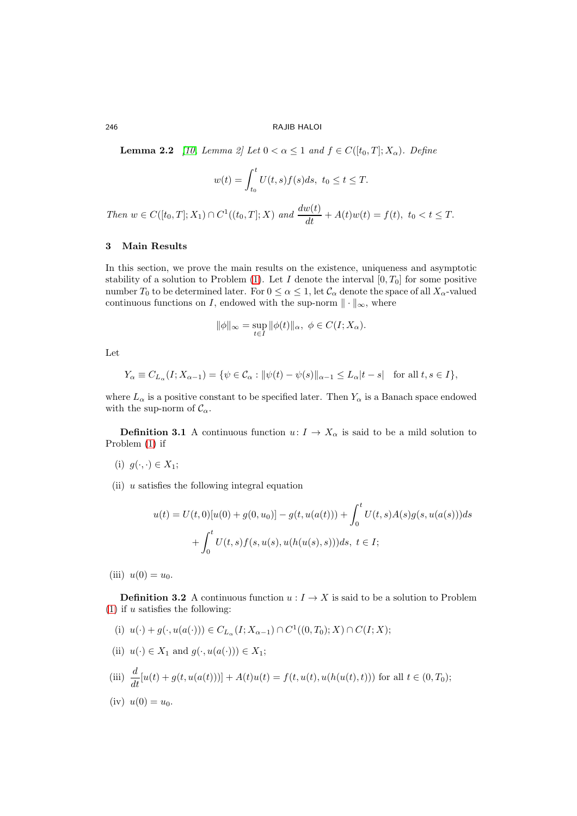**Lemma 2.2** [\[10,](#page-15-11) Lemma 2] Let  $0 < \alpha \leq 1$  and  $f \in C([t_0, T]; X_\alpha)$ . Define

$$
w(t) = \int_{t_0}^t U(t, s) f(s) ds, \ t_0 \le t \le T.
$$

Then  $w \in C([t_0, T]; X_1) \cap C^1((t_0, T]; X)$  and  $\frac{dw(t)}{dt} + A(t)w(t) = f(t), t_0 < t \leq T$ .

# 3 Main Results

In this section, we prove the main results on the existence, uniqueness and asymptotic stability of a solution to Problem [\(1\)](#page-0-1). Let I denote the interval  $[0, T_0]$  for some positive number  $T_0$  to be determined later. For  $0 \le \alpha \le 1$ , let  $\mathcal{C}_\alpha$  denote the space of all  $X_\alpha$ -valued continuous functions on I, endowed with the sup-norm  $\|\cdot\|_{\infty}$ , where

$$
\|\phi\|_{\infty} = \sup_{t \in I} \|\phi(t)\|_{\alpha}, \ \phi \in C(I; X_{\alpha}).
$$

Let

$$
Y_{\alpha} \equiv C_{L_{\alpha}}(I; X_{\alpha-1}) = \{ \psi \in \mathcal{C}_{\alpha} : ||\psi(t) - \psi(s)||_{\alpha-1} \le L_{\alpha}|t - s| \text{ for all } t, s \in I \},\
$$

where  $L_{\alpha}$  is a positive constant to be specified later. Then  $Y_{\alpha}$  is a Banach space endowed with the sup-norm of  $\mathcal{C}_{\alpha}$ .

**Definition 3.1** A continuous function  $u: I \to X_\alpha$  is said to be a mild solution to Problem [\(1\)](#page-0-1) if

- (i)  $g(\cdot, \cdot) \in X_1$ ;
- (ii)  $u$  satisfies the following integral equation

$$
u(t) = U(t,0)[u(0) + g(0, u_0)] - g(t, u(a(t))) + \int_0^t U(t,s)A(s)g(s, u(a(s)))ds
$$
  
+ 
$$
\int_0^t U(t,s)f(s, u(s), u(h(u(s),s)))ds, t \in I;
$$

(iii)  $u(0) = u_0$ .

**Definition 3.2** A continuous function  $u: I \to X$  is said to be a solution to Problem  $(1)$  if u satisfies the following:

- (i)  $u(\cdot) + g(\cdot, u(a(\cdot))) \in C_{L_{\alpha}}(I; X_{\alpha-1}) \cap C^1((0,T_0); X) \cap C(I; X);$
- (ii)  $u(\cdot) \in X_1$  and  $g(\cdot, u(a(\cdot))) \in X_1$ ;

(iii) 
$$
\frac{d}{dt}[u(t) + g(t, u(a(t)))] + A(t)u(t) = f(t, u(t), u(h(u(t), t)))
$$
 for all  $t \in (0, T_0)$ ;

(iv) 
$$
u(0) = u_0
$$
.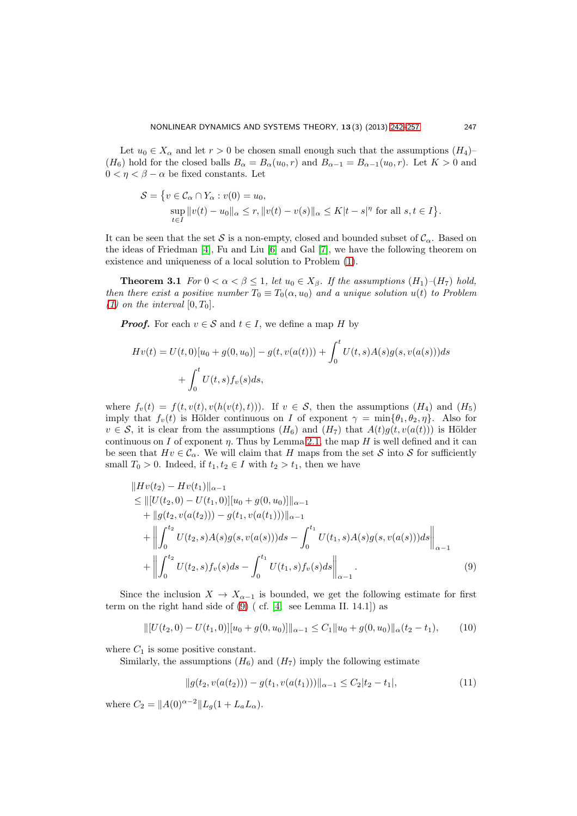Let  $u_0 \in X_\alpha$  and let  $r > 0$  be chosen small enough such that the assumptions  $(H_4)$ –  $(H_6)$  hold for the closed balls  $B_\alpha = B_\alpha(u_0, r)$  and  $B_{\alpha-1} = B_{\alpha-1}(u_0, r)$ . Let  $K > 0$  and  $0 < \eta < \beta - \alpha$  be fixed constants. Let

<span id="page-5-3"></span>
$$
\mathcal{S} = \{ v \in \mathcal{C}_{\alpha} \cap Y_{\alpha} : v(0) = u_0,
$$
  
\n
$$
\sup_{t \in I} ||v(t) - u_0||_{\alpha} \le r, ||v(t) - v(s)||_{\alpha} \le K|t - s|^\eta \text{ for all } s, t \in I \}.
$$

It can be seen that the set S is a non-empty, closed and bounded subset of  $\mathcal{C}_{\alpha}$ . Based on the ideas of Friedman [\[4\]](#page-14-3), Fu and Liu [\[6\]](#page-15-0) and Gal [\[7\]](#page-15-7), we have the following theorem on existence and uniqueness of a local solution to Problem [\(1\)](#page-0-1).

**Theorem 3.1** For  $0 < \alpha < \beta \leq 1$ , let  $u_0 \in X_\beta$ . If the assumptions  $(H_1)$ - $(H_7)$  hold, then there exist a positive number  $T_0 \equiv T_0(\alpha, u_0)$  and a unique solution  $u(t)$  to Problem [\(1\)](#page-0-1) on the interval  $[0, T_0]$ .

**Proof.** For each  $v \in \mathcal{S}$  and  $t \in I$ , we define a map H by

$$
Hv(t) = U(t,0)[u_0 + g(0, u_0)] - g(t, v(a(t))) + \int_0^t U(t,s)A(s)g(s, v(a(s)))ds
$$
  
+  $\int_0^t U(t,s)f_v(s)ds$ ,

where  $f_v(t) = f(t, v(t), v(h(v(t), t)))$ . If  $v \in S$ , then the assumptions  $(H_4)$  and  $(H_5)$ imply that  $f_v(t)$  is Hölder continuous on I of exponent  $\gamma = \min\{\theta_1, \theta_2, \eta\}$ . Also for  $v \in S$ , it is clear from the assumptions  $(H_6)$  and  $(H_7)$  that  $A(t)g(t, v(a(t)))$  is Hölder continuous on I of exponent  $\eta$ . Thus by Lemma [2.1,](#page-3-0) the map H is well defined and it can be seen that  $Hv \in \mathcal{C}_{\alpha}$ . We will claim that H maps from the set S into S for sufficiently small  $T_0 > 0$ . Indeed, if  $t_1, t_2 \in I$  with  $t_2 > t_1$ , then we have

$$
\|Hv(t_2) - Hv(t_1)\|_{\alpha-1} \n\leq \| [U(t_2, 0) - U(t_1, 0)] [u_0 + g(0, u_0)]\|_{\alpha-1} \n+ \| g(t_2, v(a(t_2))) - g(t_1, v(a(t_1)))\|_{\alpha-1} \n+ \left\| \int_0^{t_2} U(t_2, s) A(s) g(s, v(a(s))) ds - \int_0^{t_1} U(t_1, s) A(s) g(s, v(a(s))) ds \right\|_{\alpha-1} \n+ \left\| \int_0^{t_2} U(t_2, s) f_v(s) ds - \int_0^{t_1} U(t_1, s) f_v(s) ds \right\|_{\alpha-1}.
$$
\n(9)

Since the inclusion  $X \to X_{\alpha-1}$  is bounded, we get the following estimate for first term on the right hand side of  $(9)$  (cf. [\[4,](#page-14-3) see Lemma II. 14.1]) as

$$
\| [U(t_2, 0) - U(t_1, 0)] [u_0 + g(0, u_0)] \|_{\alpha - 1} \le C_1 \| u_0 + g(0, u_0) \|_{\alpha} (t_2 - t_1), \qquad (10)
$$

where  $C_1$  is some positive constant.

Similarly, the assumptions  $(H_6)$  and  $(H_7)$  imply the following estimate

<span id="page-5-2"></span><span id="page-5-1"></span><span id="page-5-0"></span>
$$
||g(t_2, v(a(t_2))) - g(t_1, v(a(t_1)))||_{\alpha - 1} \le C_2|t_2 - t_1|,
$$
\n(11)

where  $C_2 = ||A(0)^{\alpha-2}||L_q(1 + L_aL_\alpha)$ .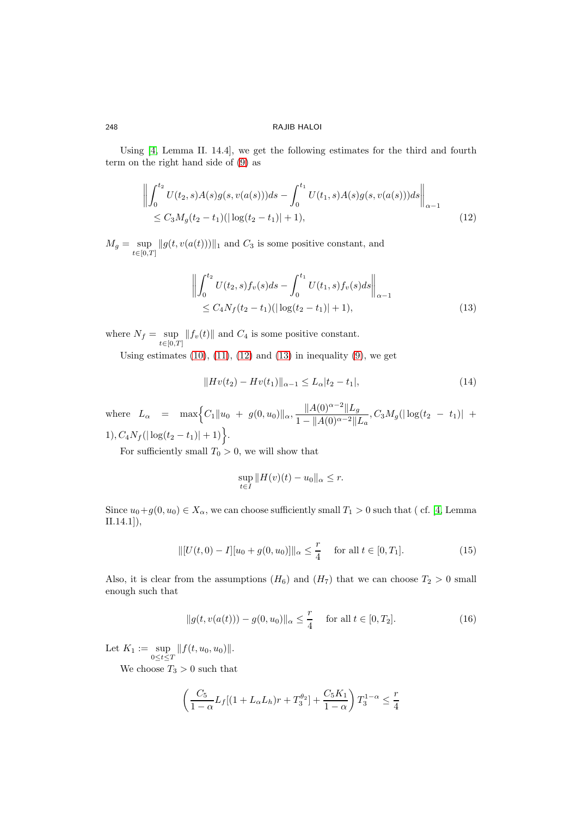Using [\[4,](#page-14-3) Lemma II. 14.4], we get the following estimates for the third and fourth term on the right hand side of [\(9\)](#page-5-0) as

$$
\left\| \int_0^{t_2} U(t_2, s) A(s) g(s, v(a(s))) ds - \int_0^{t_1} U(t_1, s) A(s) g(s, v(a(s))) ds \right\|_{\alpha - 1}
$$
  
\$\leq C\_3 M\_g(t\_2 - t\_1)(|\log(t\_2 - t\_1)| + 1),\$ (12)

 $M_g = \sup_{t \in [0,T]} ||g(t, v(a(t)))||_1$  and  $C_3$  is some positive constant, and

<span id="page-6-0"></span>
$$
\left\| \int_0^{t_2} U(t_2, s) f_v(s) ds - \int_0^{t_1} U(t_1, s) f_v(s) ds \right\|_{\alpha - 1}
$$
  
\$\leq C\_4 N\_f (t\_2 - t\_1) (\vert \log(t\_2 - t\_1) \vert + 1),\$ (13)

where  $N_f = \sup_{t \in [0,T]} ||f_v(t)||$  and  $C_4$  is some positive constant.

Using estimates  $(10)$ ,  $(11)$ ,  $(12)$  and  $(13)$  in inequality  $(9)$ , we get

<span id="page-6-1"></span>
$$
||Hv(t_2) - Hv(t_1)||_{\alpha - 1} \le L_{\alpha}|t_2 - t_1|,\tag{14}
$$

where  $L_{\alpha} = \max\Big\{C_1\|u_0 + g(0, u_0)\|_{\alpha}, \frac{\|A(0)^{\alpha-2}\|L_g}{\|A(0)\|_{\alpha-2}\|_{\alpha}}\Big\}$  $\frac{\frac{1}{2}\left(1-\frac{1}{2}\right)}{1-\|A(0)^{\alpha-2}\|L_a},C_3M_g(\left|\log(t_2 - t_1)\right| +$ 1),  $C_4N_f(|\log(t_2-t_1)|+1)$ .

For sufficiently small  $T_0 > 0$ , we will show that

<span id="page-6-3"></span><span id="page-6-2"></span>
$$
\sup_{t \in I} ||H(v)(t) - u_0||_{\alpha} \le r.
$$

Since  $u_0+g(0, u_0) \in X_\alpha$ , we can choose sufficiently small  $T_1 > 0$  such that (cf. [\[4,](#page-14-3) Lemma II.14.1]),

$$
\| [U(t,0) - I][u_0 + g(0,u_0)] \|_{\alpha} \le \frac{r}{4} \quad \text{for all } t \in [0,T_1].
$$
 (15)

Also, it is clear from the assumptions  $(H_6)$  and  $(H_7)$  that we can choose  $T_2 > 0$  small enough such that

$$
||g(t, v(a(t))) - g(0, u_0)||_{\alpha} \le \frac{r}{4} \quad \text{ for all } t \in [0, T_2].
$$
 (16)

Let  $K_1 := \sup_{0 \le t \le T} ||f(t, u_0, u_0)||.$ 

We choose  $T_3 > 0$  such that

$$
\left(\frac{C_5}{1-\alpha}L_f[(1+L_{\alpha}L_h)r+T_3^{\theta_2}]+\frac{C_5K_1}{1-\alpha}\right)T_3^{1-\alpha} \le \frac{r}{4}
$$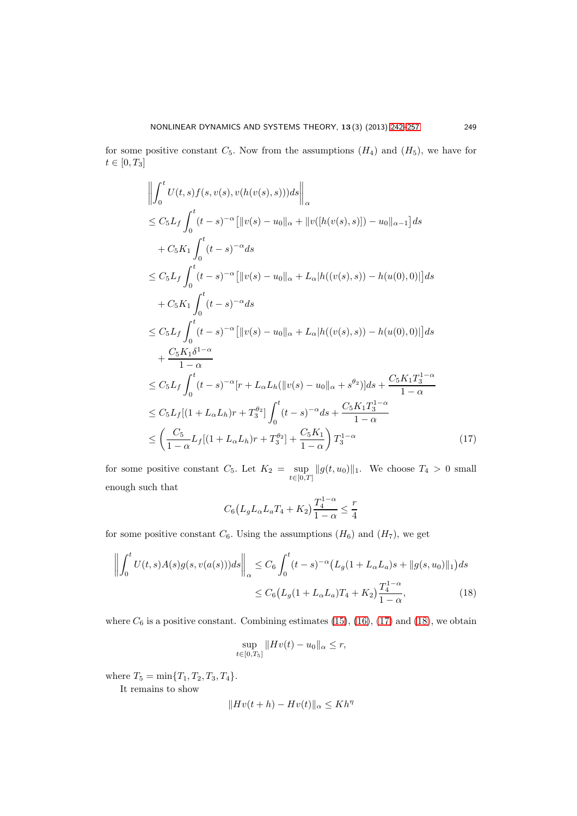for some positive constant  $C_5$ . Now from the assumptions  $(H_4)$  and  $(H_5)$ , we have for  $t \in [0, T_3]$ 

$$
\left\| \int_{0}^{t} U(t,s)f(s,v(s),v(h(v(s),s)))ds \right\|_{\alpha} \n\leq C_{5}L_{f} \int_{0}^{t} (t-s)^{-\alpha} \left[ \|v(s) - u_{0}\|_{\alpha} + \|v([h(v(s),s)]) - u_{0}\|_{\alpha-1} \right] ds \n+ C_{5}K_{1} \int_{0}^{t} (t-s)^{-\alpha} ds \n\leq C_{5}L_{f} \int_{0}^{t} (t-s)^{-\alpha} \left[ \|v(s) - u_{0}\|_{\alpha} + L_{\alpha}|h((v(s),s)) - h(u(0),0)| \right] ds \n+ C_{5}K_{1} \int_{0}^{t} (t-s)^{-\alpha} ds \n\leq C_{5}L_{f} \int_{0}^{t} (t-s)^{-\alpha} \left[ \|v(s) - u_{0}\|_{\alpha} + L_{\alpha}|h((v(s),s)) - h(u(0),0)| \right] ds \n+ \frac{C_{5}K_{1}\delta^{1-\alpha}}{1-\alpha} \n\leq C_{5}L_{f} \int_{0}^{t} (t-s)^{-\alpha} [r + L_{\alpha}L_{h}(\|v(s) - u_{0}\|_{\alpha} + s^{\theta_{2}})] ds + \frac{C_{5}K_{1}T_{3}^{1-\alpha}}{1-\alpha} \n\leq C_{5}L_{f}[(1 + L_{\alpha}L_{h})r + T_{3}^{\theta_{2}}] \int_{0}^{t} (t-s)^{-\alpha} ds + \frac{C_{5}K_{1}T_{3}^{1-\alpha}}{1-\alpha} \n\leq \left( \frac{C_{5}}{1-\alpha}L_{f}[(1 + L_{\alpha}L_{h})r + T_{3}^{\theta_{2}}] + \frac{C_{5}K_{1}}{1-\alpha} \right) T_{3}^{1-\alpha}
$$
\n(17)

for some positive constant  $C_5$ . Let  $K_2 = \sup_{t \in [0,T]} ||g(t, u_0)||_1$ . We choose  $T_4 > 0$  small enough such that

<span id="page-7-0"></span>
$$
C_6(L_g L_\alpha L_a T_4 + K_2) \frac{T_4^{1-\alpha}}{1-\alpha} \le \frac{r}{4}
$$

for some positive constant  $C_6$ . Using the assumptions  $(H_6)$  and  $(H_7)$ , we get

$$
\left\| \int_0^t U(t,s)A(s)g(s,v(a(s)))ds \right\|_{\alpha} \le C_6 \int_0^t (t-s)^{-\alpha} \left( L_g(1 + L_{\alpha}L_a)s + \|g(s,u_0)\|_1 \right) ds
$$
  

$$
\le C_6 \left( L_g(1 + L_{\alpha}L_a)T_4 + K_2 \right) \frac{T_4^{1-\alpha}}{1-\alpha},
$$
 (18)

where  $C_6$  is a positive constant. Combining estimates [\(15\)](#page-6-2), [\(16\)](#page-6-3), [\(17\)](#page-7-0) and [\(18\)](#page-7-1), we obtain

<span id="page-7-1"></span>
$$
\sup_{t \in [0,T_5]} \|Hv(t) - u_0\|_{\alpha} \le r,
$$

where  $T_5 = \min\{T_1, T_2, T_3, T_4\}.$ 

It remains to show

$$
||Hv(t+h) - Hv(t)||_{\alpha} \le Kh^{\eta}
$$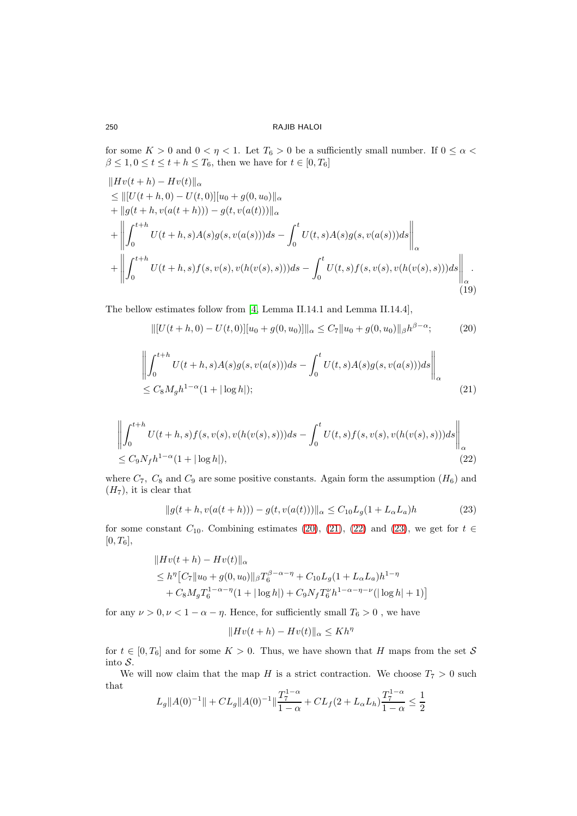for some  $K > 0$  and  $0 < \eta < 1$ . Let  $T_6 > 0$  be a sufficiently small number. If  $0 \leq \alpha <$  $\beta \leq 1, 0 \leq t \leq t+h \leq T_6,$  then we have for  $t \in [0, T_6]$ 

$$
||Hv(t+h) - Hv(t)||_{\alpha}
$$
  
\n
$$
\leq ||[U(t+h,0) - U(t,0)][u_0 + g(0,u_0)||_{\alpha}
$$
  
\n
$$
+ ||g(t+h,v(a(t+h))) - g(t,v(a(t)))||_{\alpha}
$$
  
\n
$$
+ ||\int_0^{t+h} U(t+h,s)A(s)g(s,v(a(s)))ds - \int_0^t U(t,s)A(s)g(s,v(a(s)))ds||_{\alpha}
$$
  
\n
$$
+ ||\int_0^{t+h} U(t+h,s)f(s,v(s),v(h(v(s),s)))ds - \int_0^t U(t,s)f(s,v(s),v(h(v(s),s)))ds||_{\alpha}
$$
  
\n(19)

The bellow estimates follow from [\[4,](#page-14-3) Lemma II.14.1 and Lemma II.14.4],

<span id="page-8-1"></span><span id="page-8-0"></span>
$$
\| [U(t+h,0) - U(t,0)] [u_0 + g(0,u_0)] \|_{\alpha} \le C_7 \| u_0 + g(0,u_0) \|_{\beta} h^{\beta - \alpha}; \tag{20}
$$

$$
\left\| \int_0^{t+h} U(t+h,s)A(s)g(s,v(a(s)))ds - \int_0^t U(t,s)A(s)g(s,v(a(s)))ds \right\|_{\alpha}
$$
  
\n
$$
\leq C_8M_gh^{1-\alpha}(1+|\log h|); \tag{21}
$$

$$
\left\| \int_0^{t+h} U(t+h,s)f(s,v(s),v(h(v(s),s)))ds - \int_0^t U(t,s)f(s,v(s),v(h(v(s),s)))ds \right\|_{\alpha}
$$
  
\n
$$
\leq C_9N_f h^{1-\alpha}(1+|\log h|),
$$
\n(22)

where  $C_7$ ,  $C_8$  and  $C_9$  are some positive constants. Again form the assumption  $(H_6)$  and  $(H<sub>7</sub>)$ , it is clear that

$$
||g(t+h, v(a(t+h))) - g(t, v(a(t)))||_{\alpha} \le C_{10}L_g(1 + L_{\alpha}L_a)h
$$
\n(23)

for some constant  $C_{10}$ . Combining estimates [\(20\)](#page-8-0), [\(21\)](#page-8-1), [\(22\)](#page-8-2) and [\(23\)](#page-8-3), we get for  $t \in$  $[0, T_6],$ 

$$
||Hv(t+h) - Hv(t)||_{\alpha}
$$
  
\n
$$
\leq h^{\eta} [C_7 || u_0 + g(0, u_0) ||_{\beta} T_6^{\beta - \alpha - \eta} + C_{10} L_g (1 + L_{\alpha} L_a) h^{1 - \eta}
$$
  
\n
$$
+ C_8 M_g T_6^{1 - \alpha - \eta} (1 + |\log h|) + C_9 N_f T_6^{\nu} h^{1 - \alpha - \eta - \nu} (|\log h| + 1)]
$$

for any  $\nu>0, \nu<1-\alpha-\eta.$  Hence, for sufficiently small  $T_6>0$  , we have

<span id="page-8-3"></span><span id="page-8-2"></span>
$$
||Hv(t+h) - Hv(t)||_{\alpha} \le Kh^{\eta}
$$

for  $t \in [0, T_6]$  and for some  $K > 0$ . Thus, we have shown that H maps from the set S into S.

We will now claim that the map H is a strict contraction. We choose  $T_7 > 0$  such that

$$
L_g ||A(0)^{-1}|| + CL_g ||A(0)^{-1}|| \frac{T_7^{1-\alpha}}{1-\alpha} + CL_f (2 + L_\alpha L_h) \frac{T_7^{1-\alpha}}{1-\alpha} \le \frac{1}{2}
$$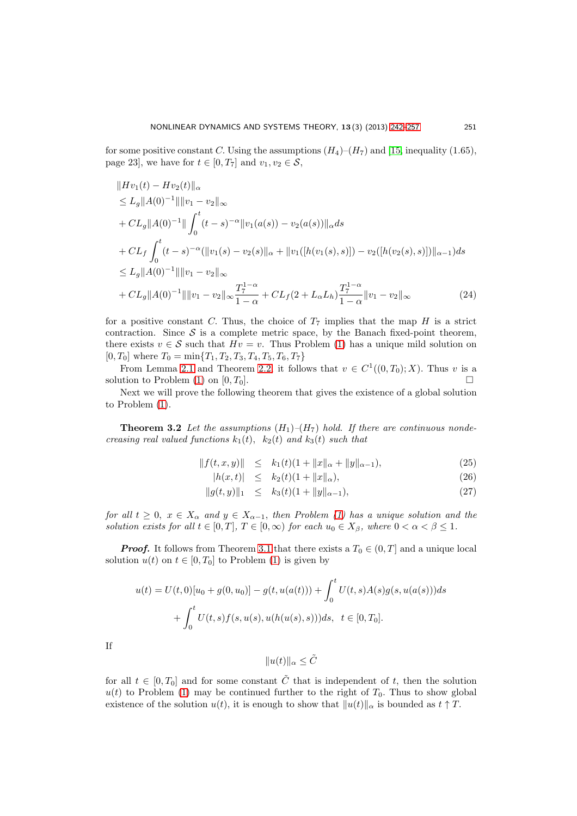for some positive constant C. Using the assumptions  $(H_4)$ – $(H_7)$  and [\[15,](#page-15-9) inequality (1.65), page 23], we have for  $t \in [0, T_7]$  and  $v_1, v_2 \in \mathcal{S}$ ,

$$
||Hv_1(t) - Hv_2(t)||_{\alpha}
$$
  
\n
$$
\leq L_g ||A(0)^{-1}|| ||v_1 - v_2||_{\infty}
$$
  
\n
$$
+ CL_g ||A(0)^{-1}|| \int_0^t (t - s)^{-\alpha} ||v_1(a(s)) - v_2(a(s))||_{\alpha} ds
$$
  
\n
$$
+ CL_f \int_0^t (t - s)^{-\alpha} (||v_1(s) - v_2(s)||_{\alpha} + ||v_1([h(v_1(s), s)]) - v_2([h(v_2(s), s)])||_{\alpha-1}) ds
$$
  
\n
$$
\leq L_g ||A(0)^{-1}|| ||v_1 - v_2||_{\infty}
$$
  
\n
$$
+ CL_g ||A(0)^{-1}|| ||v_1 - v_2||_{\infty} \frac{T_7^{1-\alpha}}{1-\alpha} + CL_f(2 + L_{\alpha}L_h) \frac{T_7^{1-\alpha}}{1-\alpha} ||v_1 - v_2||_{\infty}
$$
\n(24)

for a positive constant C. Thus, the choice of  $T_7$  implies that the map H is a strict contraction. Since  $S$  is a complete metric space, by the Banach fixed-point theorem, there exists  $v \in \mathcal{S}$  such that  $Hv = v$ . Thus Problem [\(1\)](#page-0-1) has a unique mild solution on  $[0, T_0]$  where  $T_0 = \min\{T_1, T_2, T_3, T_4, T_5, T_6, T_7\}$ 

From Lemma [2.1](#page-3-0) and Theorem [2.2,](#page-2-1) it follows that  $v \in C^1((0,T_0);X)$ . Thus v is a solution to Problem [\(1\)](#page-0-1) on  $[0, T_0]$ .

Next we will prove the following theorem that gives the existence of a global solution to Problem [\(1\)](#page-0-1).

**Theorem 3.2** Let the assumptions  $(H_1)$ – $(H_7)$  hold. If there are continuous nondecreasing real valued functions  $k_1(t)$ ,  $k_2(t)$  and  $k_3(t)$  such that

<span id="page-9-1"></span><span id="page-9-0"></span>
$$
||f(t, x, y)|| \le k_1(t)(1 + ||x||_{\alpha} + ||y||_{\alpha - 1}),
$$
\n(25)

$$
|h(x,t)| \le k_2(t)(1 + \|x\|_{\alpha}), \tag{26}
$$

$$
||g(t,y)||_1 \le k_3(t)(1+||y||_{\alpha-1}), \tag{27}
$$

for all  $t \geq 0$ ,  $x \in X_\alpha$  and  $y \in X_{\alpha-1}$ , then Problem [\(1\)](#page-0-1) has a unique solution and the solution exists for all  $t \in [0, T]$ ,  $T \in [0, \infty)$  for each  $u_0 \in X_\beta$ , where  $0 < \alpha < \beta \leq 1$ .

**Proof.** It follows from Theorem [3.1](#page-5-3) that there exists a  $T_0 \in (0, T]$  and a unique local solution  $u(t)$  on  $t \in [0, T_0]$  to Problem [\(1\)](#page-0-1) is given by

$$
u(t) = U(t,0)[u_0 + g(0, u_0)] - g(t, u(a(t))) + \int_0^t U(t,s)A(s)g(s, u(a(s)))ds
$$
  
+ 
$$
\int_0^t U(t,s)f(s, u(s), u(h(u(s),s)))ds, \quad t \in [0, T_0].
$$

If

$$
||u(t)||_{\alpha} \leq \tilde{C}
$$

for all  $t \in [0, T_0]$  and for some constant  $\tilde{C}$  that is independent of t, then the solution  $u(t)$  to Problem [\(1\)](#page-0-1) may be continued further to the right of  $T_0$ . Thus to show global existence of the solution  $u(t)$ , it is enough to show that  $||u(t)||_{\alpha}$  is bounded as  $t \uparrow T$ .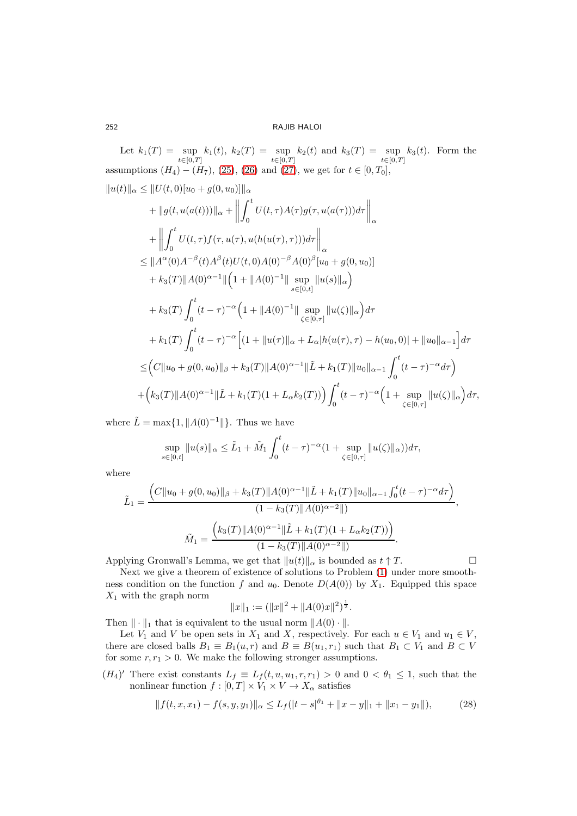Let  $k_1(T) = \sup_{t \in [0,T]} k_1(t), k_2(T) = \sup_{t \in [0,T]} k_2(t)$  and  $k_3(T) = \sup_{t \in [0,T]} k_3(t)$ . Form the assumptions  $(H_4) - (H_7)$ ,  $(25)$ ,  $(26)$  and  $(27)$ , we get for  $t \in [0, T_0]$ ,

$$
||u(t)||_{\alpha} \leq ||U(t,0)[u_{0}+g(0,u_{0})]||_{\alpha} + ||g(t,u(a(t)))||_{\alpha} + ||\int_{0}^{t} U(t,\tau)A(\tau)g(\tau,u(a(\tau)))d\tau||_{\alpha} + ||\int_{0}^{t} U(t,\tau)f(\tau,u(\tau),u(h(u(\tau),\tau)))d\tau||_{\alpha} \leq ||A^{\alpha}(0)A^{-\beta}(t)A^{\beta}(t)U(t,0)A(0)^{-\beta}A(0)^{\beta}[u_{0}+g(0,u_{0})] + k_{3}(T)||A(0)^{\alpha-1}||[1+||A(0)^{-1}||\sup_{s\in[0,t]}||u(s)||_{\alpha}) + k_{3}(T)\int_{0}^{t} (t-\tau)^{-\alpha}(1+||A(0)^{-1}||\sup_{\zeta\in[0,\tau]}||u(\zeta)||_{\alpha})d\tau + k_{1}(T)\int_{0}^{t} (t-\tau)^{-\alpha}[1+||u(\tau)||_{\alpha}+L_{\alpha}|h(u(\tau),\tau)-h(u_{0},0)|+||u_{0}||_{\alpha-1}]d\tau \leq (C||u_{0}+g(0,u_{0})||_{\beta}+k_{3}(T)||A(0)^{\alpha-1}||\tilde{L}+k_{1}(T)||u_{0}||_{\alpha-1}\int_{0}^{t} (t-\tau)^{-\alpha}d\tau + (k_{3}(T)||A(0)^{\alpha-1}||\tilde{L}+k_{1}(T)(1+L_{\alpha}k_{2}(T)))\int_{0}^{t} (t-\tau)^{-\alpha}(1+\sup_{\zeta\in[0,\tau]}||u(\zeta)||_{\alpha})d\tau,
$$

where  $\tilde{L} = \max\{1, ||A(0)^{-1}||\}.$  Thus we have

$$
\sup_{s \in [0,t]} \|u(s)\|_{\alpha} \leq \tilde{L}_1 + \tilde{M}_1 \int_0^t (t-\tau)^{-\alpha} (1+\sup_{\zeta \in [0,\tau]} \|u(\zeta)\|_{\alpha}) d\tau,
$$

where

$$
\tilde{L}_1 = \frac{\left(C\|u_0 + g(0, u_0)\|_{\beta} + k_3(T)\|A(0)^{\alpha - 1}\|\tilde{L} + k_1(T)\|u_0\|_{\alpha - 1}\int_0^t (t - \tau)^{-\alpha} d\tau\right)}{(1 - k_3(T)\|A(0)^{\alpha - 2}\|)},
$$
\n
$$
\tilde{M}_1 = \frac{\left(k_3(T)\|A(0)^{\alpha - 1}\|\tilde{L} + k_1(T)(1 + L_\alpha k_2(T))\right)}{(1 - k_3(T)\|A(0)^{\alpha - 2}\|}.
$$

Applying Gronwall's Lemma, we get that  $||u(t)||_{\alpha}$  is bounded as  $t \uparrow T$ .

Next we give a theorem of existence of solutions to Problem [\(1\)](#page-0-1) under more smoothness condition on the function f and  $u_0$ . Denote  $D(A(0))$  by  $X_1$ . Equipped this space  $X_1$  with the graph norm 1

$$
||x||_1 := (||x||^2 + ||A(0)x||^2)^{\frac{1}{2}}.
$$

Then  $\|\cdot\|_1$  that is equivalent to the usual norm  $||A(0)\cdot||$ .

Let  $V_1$  and V be open sets in  $X_1$  and X, respectively. For each  $u \in V_1$  and  $u_1 \in V$ , there are closed balls  $B_1 \equiv B_1(u,r)$  and  $B \equiv B(u_1,r_1)$  such that  $B_1 \subset V_1$  and  $B \subset V_1$ for some  $r, r_1 > 0$ . We make the following stronger assumptions.

 $(H_4)'$  There exist constants  $L_f \equiv L_f(t, u, u_1, r, r_1) > 0$  and  $0 < \theta_1 \leq 1$ , such that the nonlinear function  $f : [0, T] \times V_1 \times V \to X_\alpha$  satisfies

$$
|| f(t, x, x_1) - f(s, y, y_1)||_{\alpha} \le L_f(|t - s|^{\theta_1} + ||x - y||_1 + ||x_1 - y_1||),
$$
 (28)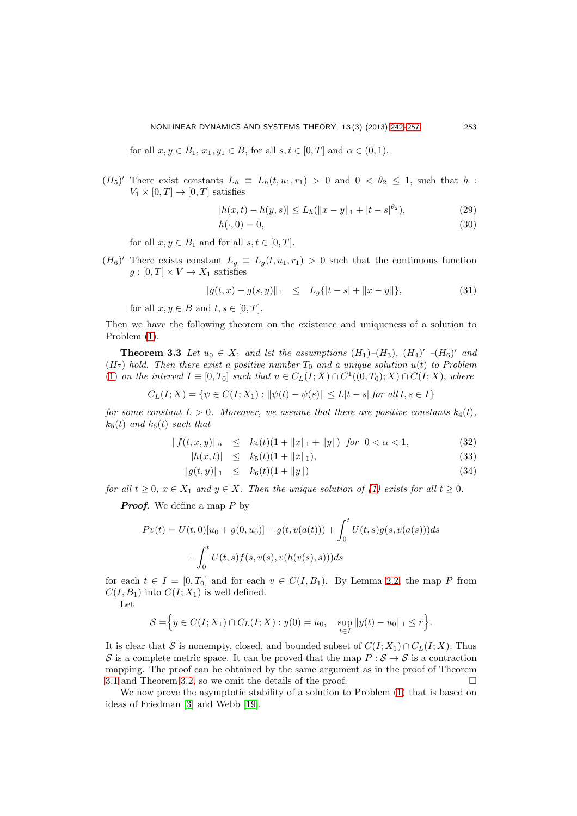for all  $x, y \in B_1$ ,  $x_1, y_1 \in B$ , for all  $s, t \in [0, T]$  and  $\alpha \in (0, 1)$ .

 $(H_5)'$  There exist constants  $L_h \equiv L_h(t, u_1, r_1) > 0$  and  $0 < \theta_2 \leq 1$ , such that h:  $V_1 \times [0, T] \rightarrow [0, T]$  satisfies

$$
|h(x,t) - h(y,s)| \le L_h(||x - y||_1 + |t - s|^{\theta_2}),\tag{29}
$$

$$
h(\cdot,0) = 0,\t\t(30)
$$

for all  $x, y \in B_1$  and for all  $s, t \in [0, T]$ .

 $(H_6)'$  There exists constant  $L_g \equiv L_g(t, u_1, r_1) > 0$  such that the continuous function  $g:[0,T]\times V\to X_1$  satisfies

$$
||g(t,x) - g(s,y)||_1 \le L_g\{|t - s| + ||x - y||\},
$$
\n(31)

for all  $x, y \in B$  and  $t, s \in [0, T]$ .

Then we have the following theorem on the existence and uniqueness of a solution to Problem [\(1\)](#page-0-1).

**Theorem 3.3** Let  $u_0 \in X_1$  and let the assumptions  $(H_1)$ - $(H_3)$ ,  $(H_4)'$ - $(H_6)'$  and  $(H<sub>7</sub>)$  hold. Then there exist a positive number  $T<sub>0</sub>$  and a unique solution  $u(t)$  to Problem [\(1\)](#page-0-1) on the interval  $I \equiv [0, T_0]$  such that  $u \in C_L(I; X) \cap C^1((0, T_0); X) \cap C(I; X)$ , where

$$
C_L(I;X) = \{ \psi \in C(I;X_1) : ||\psi(t) - \psi(s)|| \le L|t - s| \text{ for all } t, s \in I \}
$$

for some constant  $L > 0$ . Moreover, we assume that there are positive constants  $k_4(t)$ ,  $k_5(t)$  and  $k_6(t)$  such that

$$
||f(t, x, y)||_{\alpha} \le k_4(t)(1 + ||x||_1 + ||y||) \text{ for } 0 < \alpha < 1,
$$
 (32)  
\n
$$
||h(x, t)||_{\alpha} \le k_2(t)(1 + ||x||_1)
$$
 (33)

$$
|h(x, t)| \geq \kappa_5(t)(1 + ||x||_1), \tag{33}
$$

$$
||g(t, y)||_1 \le k_6(t)(1 + ||y||) \tag{34}
$$

for all  $t > 0$ ,  $x \in X_1$  and  $y \in X$ . Then the unique solution of [\(1\)](#page-0-1) exists for all  $t > 0$ .

**Proof.** We define a map  $P$  by

$$
Pv(t) = U(t,0)[u_0 + g(0, u_0)] - g(t, v(a(t))) + \int_0^t U(t,s)g(s, v(a(s)))ds
$$
  
+ 
$$
\int_0^t U(t,s)f(s, v(s), v(h(v(s),s)))ds
$$

for each  $t \in I = [0, T_0]$  and for each  $v \in C(I, B_1)$ . By Lemma [2.2,](#page-3-1) the map P from  $C(I, B_1)$  into  $C(I; X_1)$  is well defined.

Let

$$
S = \Big\{ y \in C(I; X_1) \cap C_L(I; X) : y(0) = u_0, \quad \sup_{t \in I} \|y(t) - u_0\|_1 \leq r \Big\}.
$$

It is clear that S is nonempty, closed, and bounded subset of  $C(I; X_1) \cap C_L(I; X)$ . Thus S is a complete metric space. It can be proved that the map  $P : S \to S$  is a contraction mapping. The proof can be obtained by the same argument as in the proof of Theorem [3.1](#page-5-3) and Theorem [3.2,](#page-9-1) so we omit the details of the proof.

We now prove the asymptotic stability of a solution to Problem [\(1\)](#page-0-1) that is based on ideas of Friedman [\[3\]](#page-14-5) and Webb [\[19\]](#page-15-5).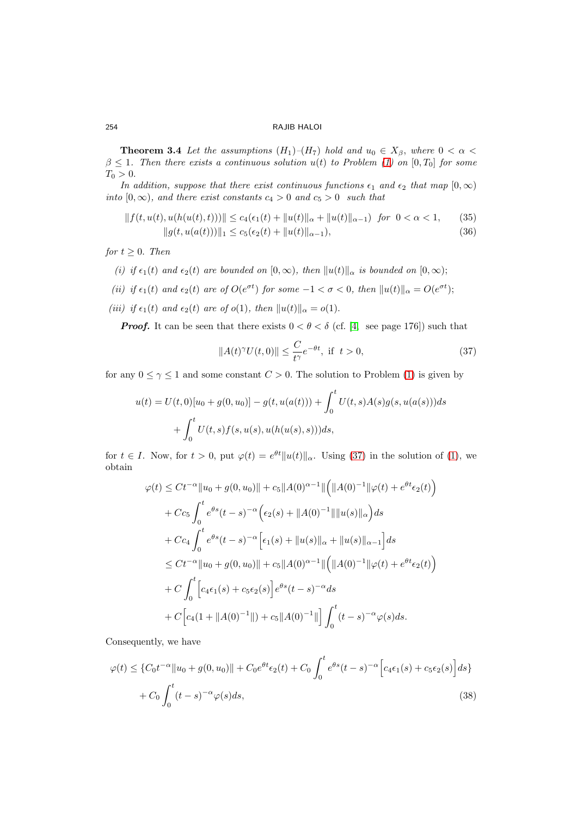**Theorem 3.4** Let the assumptions  $(H_1)$ – $(H_7)$  hold and  $u_0 \in X_\beta$ , where  $0 < \alpha <$  $\beta \leq 1$ . Then there exists a continuous solution  $u(t)$  to Problem [\(1\)](#page-0-1) on [0, T<sub>0</sub>] for some  $T_0 > 0.$ 

In addition, suppose that there exist continuous functions  $\epsilon_1$  and  $\epsilon_2$  that map  $[0, \infty)$ into  $[0, \infty)$ , and there exist constants  $c_4 > 0$  and  $c_5 > 0$  such that

$$
||f(t, u(t), u(h(u(t), t)))|| \le c_4(\epsilon_1(t) + ||u(t)||_{\alpha} + ||u(t)||_{\alpha-1}) \text{ for } 0 < \alpha < 1,
$$
 (35)  

$$
||g(t, u(a(t)))||_1 \le c_5(\epsilon_2(t) + ||u(t)||_{\alpha-1}),
$$
 (36)

for  $t \geq 0$ . Then

- (i) if  $\epsilon_1(t)$  and  $\epsilon_2(t)$  are bounded on  $[0, \infty)$ , then  $||u(t)||_{\alpha}$  is bounded on  $[0, \infty)$ ;
- (ii) if  $\epsilon_1(t)$  and  $\epsilon_2(t)$  are of  $O(e^{\sigma t})$  for some  $-1 < \sigma < 0$ , then  $||u(t)||_{\alpha} = O(e^{\sigma t})$ ;
- (iii) if  $\epsilon_1(t)$  and  $\epsilon_2(t)$  are of  $o(1)$ , then  $||u(t)||_{\alpha} = o(1)$ .

**Proof.** It can be seen that there exists  $0 < \theta < \delta$  (cf. [\[4,](#page-14-3) see page 176]) such that

<span id="page-12-0"></span>
$$
||A(t)^{\gamma}U(t,0)|| \leq \frac{C}{t^{\gamma}}e^{-\theta t}, \text{ if } t > 0,
$$
\n(37)

for any  $0 \leq \gamma \leq 1$  and some constant  $C > 0$ . The solution to Problem [\(1\)](#page-0-1) is given by

$$
u(t) = U(t,0)[u_0 + g(0, u_0)] - g(t, u(a(t))) + \int_0^t U(t,s)A(s)g(s, u(a(s)))ds
$$
  
+ 
$$
\int_0^t U(t,s)f(s, u(s), u(h(u(s),s)))ds,
$$

for  $t \in I$ . Now, for  $t > 0$ , put  $\varphi(t) = e^{\theta t} ||u(t)||_{\alpha}$ . Using [\(37\)](#page-12-0) in the solution of [\(1\)](#page-0-1), we obtain

$$
\varphi(t) \leq Ct^{-\alpha} \|u_0 + g(0, u_0)\| + c_5 \|A(0)^{\alpha-1}\| \left( \|A(0)^{-1}\| \varphi(t) + e^{\theta t} \epsilon_2(t) \right)
$$
  
+  $Cc_5 \int_0^t e^{\theta s} (t-s)^{-\alpha} \left( \epsilon_2(s) + \|A(0)^{-1}\| \|u(s)\|_{\alpha} \right) ds$   
+  $Cc_4 \int_0^t e^{\theta s} (t-s)^{-\alpha} \left[ \epsilon_1(s) + \|u(s)\|_{\alpha} + \|u(s)\|_{\alpha-1} \right] ds$   
 $\leq Ct^{-\alpha} \|u_0 + g(0, u_0)\| + c_5 \|A(0)^{\alpha-1}\| \left( \|A(0)^{-1}\| \varphi(t) + e^{\theta t} \epsilon_2(t) \right)$   
+  $C \int_0^t \left[ c_4 \epsilon_1(s) + c_5 \epsilon_2(s) \right] e^{\theta s} (t-s)^{-\alpha} ds$   
+  $C \left[ c_4 (1 + \|A(0)^{-1}\|) + c_5 \|A(0)^{-1}\| \right] \int_0^t (t-s)^{-\alpha} \varphi(s) ds.$ 

Consequently, we have

<span id="page-12-1"></span>
$$
\varphi(t) \leq \{C_0 t^{-\alpha} \|u_0 + g(0, u_0)\| + C_0 e^{\theta t} \epsilon_2(t) + C_0 \int_0^t e^{\theta s} (t - s)^{-\alpha} \Big[ c_4 \epsilon_1(s) + c_5 \epsilon_2(s) \Big] ds \}+ C_0 \int_0^t (t - s)^{-\alpha} \varphi(s) ds,
$$
\n(38)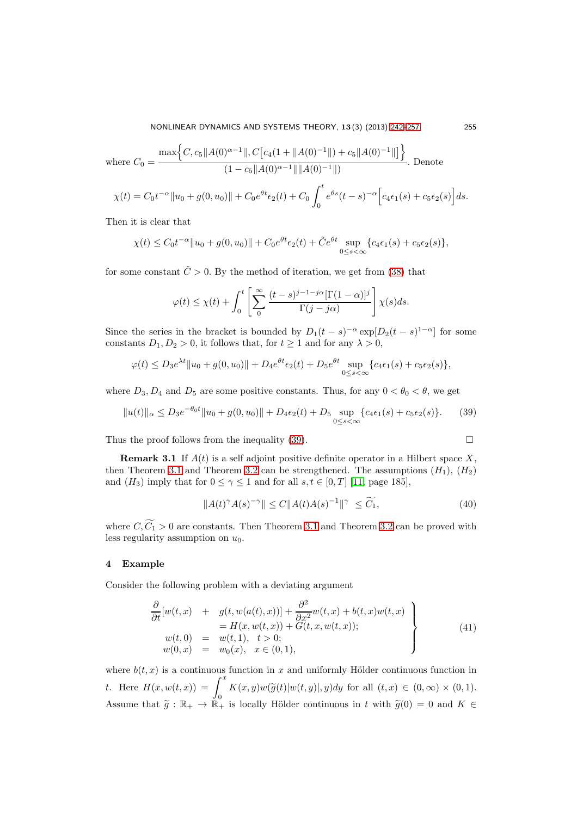where 
$$
C_0 = \frac{\max\left\{C, c_5 \|A(0)^{\alpha-1}\|, C\left[c_4(1 + \|A(0)^{-1}\|) + c_5 \|A(0)^{-1}\|\right]\right\}}{(1 - c_5 \|A(0)^{\alpha-1}\| \|A(0)^{-1}\|)}.
$$
 Denote  

$$
\chi(t) = C_0 t^{-\alpha} \|u_0 + g(0, u_0)\| + C_0 e^{\theta t} \epsilon_2(t) + C_0 \int_0^t e^{\theta s} (t - s)^{-\alpha} \left[c_4 \epsilon_1(s) + c_5 \epsilon_2(s)\right] ds.
$$

Then it is clear that

$$
\chi(t) \leq C_0 t^{-\alpha} \|u_0 + g(0, u_0)\| + C_0 e^{\theta t} \epsilon_2(t) + \tilde{C} e^{\theta t} \sup_{0 \leq s < \infty} \{c_4 \epsilon_1(s) + c_5 \epsilon_2(s)\},
$$

for some constant  $\tilde{C} > 0$ . By the method of iteration, we get from [\(38\)](#page-12-1) that

$$
\varphi(t) \le \chi(t) + \int_0^t \left[ \sum_0^\infty \frac{(t-s)^{j-1-j\alpha}[\Gamma(1-\alpha)]^j}{\Gamma(j-j\alpha)} \right] \chi(s) ds.
$$

Since the series in the bracket is bounded by  $D_1(t-s)^{-\alpha} \exp[D_2(t-s)^{1-\alpha}]$  for some constants  $D_1, D_2 > 0$ , it follows that, for  $t \ge 1$  and for any  $\lambda > 0$ ,

$$
\varphi(t) \le D_3 e^{\lambda t} \|u_0 + g(0, u_0)\| + D_4 e^{\theta t} \epsilon_2(t) + D_5 e^{\theta t} \sup_{0 \le s < \infty} \{c_4 \epsilon_1(s) + c_5 \epsilon_2(s)\},
$$

where  $D_3, D_4$  and  $D_5$  are some positive constants. Thus, for any  $0 < \theta_0 < \theta$ , we get

<span id="page-13-0"></span>
$$
||u(t)||_{\alpha} \le D_3 e^{-\theta_0 t} ||u_0 + g(0, u_0)|| + D_4 \epsilon_2(t) + D_5 \sup_{0 \le s < \infty} \{c_4 \epsilon_1(s) + c_5 \epsilon_2(s)\}. \tag{39}
$$

Thus the proof follows from the inequality [\(39\)](#page-13-0).  $\Box$ 

**Remark 3.1** If 
$$
A(t)
$$
 is a self adjoint positive definite operator in a Hilbert space  $X$ , then Theorem 3.1 and Theorem 3.2 can be strengthened. The assumptions  $(H_1)$ ,  $(H_2)$  and  $(H_3)$  imply that for  $0 \le \gamma \le 1$  and for all  $s, t \in [0, T]$  [11, page 185],

$$
||A(t)^{\gamma}A(s)^{-\gamma}|| \le C||A(t)A(s)^{-1}||^{\gamma} \le \widetilde{C_1},\tag{40}
$$

where  $C, \widetilde{C_1} > 0$  are constants. Then Theorem [3.1](#page-5-3) and Theorem [3.2](#page-9-1) can be proved with less regularity assumption on  $u_0$ .

## 4 Example

Consider the following problem with a deviating argument

<span id="page-13-1"></span>
$$
\frac{\partial}{\partial t}[w(t,x) + g(t, w(a(t),x))] + \frac{\partial^2}{\partial x^2}w(t,x) + b(t,x)w(t,x) \n= H(x, w(t,x)) + G(t,x, w(t,x)); \nw(t,0) = w(t,1), t > 0; \nw(0,x) = w_0(x), x \in (0,1),
$$
\n(41)

where  $b(t, x)$  is a continuous function in x and uniformly Hölder continuous function in t. Here  $H(x, w(t, x)) = \int_0^x$  $K(x, y)w(\widetilde{g}(t)|w(t, y)|, y)dy$  for all  $(t, x) \in (0, \infty) \times (0, 1)$ . Assume that  $\tilde{g}: \mathbb{R}_+ \to \tilde{\mathbb{R}}_+$  is locally Hölder continuous in t with  $\tilde{g}(0) = 0$  and  $K \in$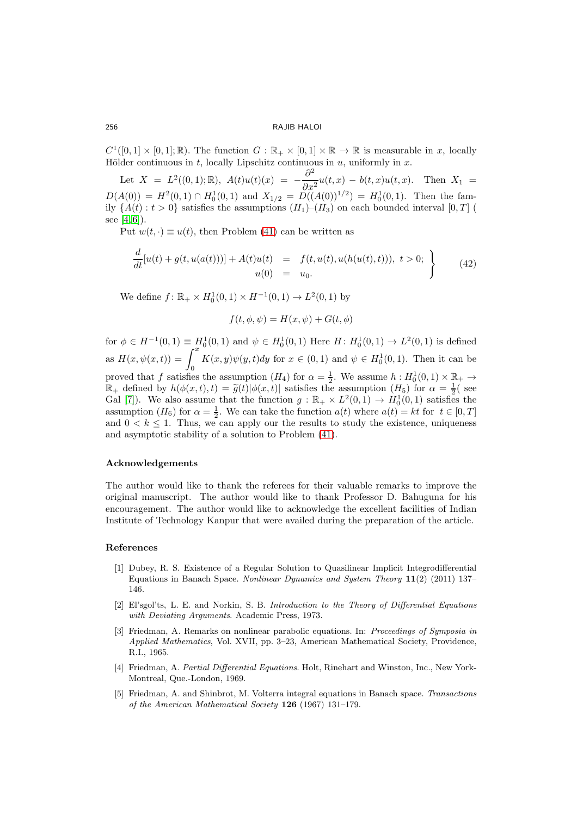$C^1([0,1] \times [0,1];\mathbb{R})$ . The function  $G : \mathbb{R}_+ \times [0,1] \times \mathbb{R} \to \mathbb{R}$  is measurable in x, locally Hölder continuous in  $t$ , locally Lipschitz continuous in  $u$ , uniformly in  $x$ .

Let  $X = L^2((0,1); \mathbb{R})$ ,  $A(t)u(t)(x) = -\frac{\partial^2}{\partial x^2}$  $\frac{\partial}{\partial x^2}u(t,x)-b(t,x)u(t,x).$  Then  $X_1 =$  $D(A(0)) = H<sup>2</sup>(0,1) \cap H<sub>0</sub><sup>1</sup>(0,1)$  and  $X<sub>1/2</sub> = D((A(0))<sup>1/2</sup>) = H<sub>0</sub><sup>1</sup>(0,1)$ . Then the family  $\{A(t): t > 0\}$  satisfies the assumptions  $(H_1)$ – $(H_3)$  on each bounded interval  $[0, T]$ see [\[4,](#page-14-3) [6\]](#page-15-0)).

Put  $w(t, \cdot) \equiv u(t)$ , then Problem [\(41\)](#page-13-1) can be written as

$$
\frac{d}{dt}[u(t) + g(t, u(a(t)))] + A(t)u(t) = f(t, u(t), u(h(u(t), t))), t > 0; \n\left\{\n\begin{aligned}\n&\quad (42) \\
&\quad u(0) = u_0.\n\end{aligned}\n\right.
$$

We define  $f: \mathbb{R}_+ \times H_0^1(0,1) \times H^{-1}(0,1) \to L^2(0,1)$  by

$$
f(t, \phi, \psi) = H(x, \psi) + G(t, \phi)
$$

for  $\phi \in H^{-1}(0,1) \equiv H_0^1(0,1)$  and  $\psi \in H_0^1(0,1)$  Here  $H: H_0^1(0,1) \to L^2(0,1)$  is defined as  $H(x, \psi(x, t)) = \int_0^x$ 0  $K(x, y)\psi(y, t)dy$  for  $x \in (0, 1)$  and  $\psi \in H_0^1(0, 1)$ . Then it can be proved that f satisfies the assumption  $(H_4)$  for  $\alpha = \frac{1}{2}$ . We assume  $h : H_0^1(0,1) \times \mathbb{R}_+$  $\mathbb{R}_+$  defined by  $h(\phi(x,t), t) = \tilde{g}(t)|\phi(x,t)|$  satisfies the assumption  $(H_5)$  for  $\alpha = \frac{1}{2}$  see Gal [\[7\]](#page-15-7)). We also assume that the function  $g : \mathbb{R}_+ \times L^2(0,1) \to H_0^1(0,1)$  satisfies the assumption  $(H_6)$  for  $\alpha = \frac{1}{2}$ . We can take the function  $a(t)$  where  $a(t) = kt$  for  $t \in [0, T]$ and  $0 < k \leq 1$ . Thus, we can apply our the results to study the existence, uniqueness and asymptotic stability of a solution to Problem [\(41\)](#page-13-1).

# Acknowledgements

The author would like to thank the referees for their valuable remarks to improve the original manuscript. The author would like to thank Professor D. Bahuguna for his encouragement. The author would like to acknowledge the excellent facilities of Indian Institute of Technology Kanpur that were availed during the preparation of the article.

#### <span id="page-14-2"></span><span id="page-14-0"></span>References

- [1] Dubey, R. S. Existence of a Regular Solution to Quasilinear Implicit Integrodifferential Equations in Banach Space. Nonlinear Dynamics and System Theory 11(2) (2011) 137– 146.
- <span id="page-14-1"></span>[2] El'sgol'ts, L. E. and Norkin, S. B. Introduction to the Theory of Differential Equations with Deviating Arguments. Academic Press, 1973.
- <span id="page-14-5"></span>[3] Friedman, A. Remarks on nonlinear parabolic equations. In: Proceedings of Symposia in Applied Mathematics, Vol. XVII, pp. 3–23, American Mathematical Society, Providence, R.I., 1965.
- <span id="page-14-3"></span>[4] Friedman, A. Partial Differential Equations. Holt, Rinehart and Winston, Inc., New York-Montreal, Que.-London, 1969.
- <span id="page-14-4"></span>[5] Friedman, A. and Shinbrot, M. Volterra integral equations in Banach space. Transactions of the American Mathematical Society 126 (1967) 131–179.